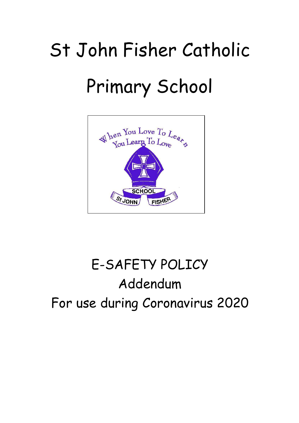## St John Fisher Catholic Primary School



## E-SAFETY POLICY Addendum For use during Coronavirus 2020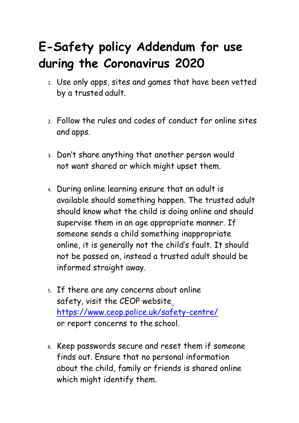## **E-Safety policy Addendum for use during the Coronavirus 2020**

- 1. Use only apps, sites and games that have been vetted by a trusted adult.
- 2. Follow the rules and codes of conduct for online sites and apps.
- 3. Don't share anything that another person would not want shared or which might upset them.
- 4. During online learning ensure that an adult is available should something happen. The trusted adult should know what the child is doing online and should supervise them in an age appropriate manner. If someone sends a child something inappropriate online, it is generally not the child's fault. It should not be passed on, instead a trusted adult should be informed straight away.
- 5. If there are any concerns about online safety, visit the CEOP websit[e](https://www.ceop.police.uk/safety-centre/) <https://www.ceop.police.uk/safety-centre/> or report concerns to the school.
- 6. Keep passwords secure and reset them if someone finds out. Ensure that no personal information about the child, family or friends is shared online which might identify them.